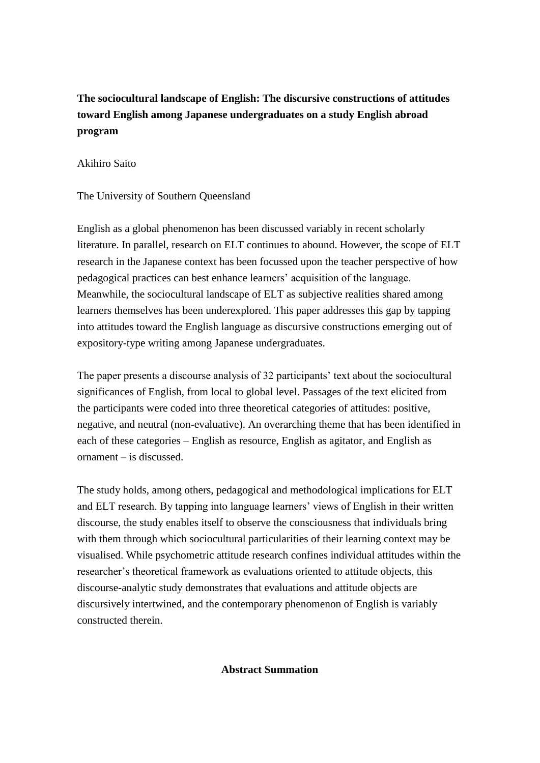## **The sociocultural landscape of English: The discursive constructions of attitudes toward English among Japanese undergraduates on a study English abroad program**

## Akihiro Saito

The University of Southern Queensland

English as a global phenomenon has been discussed variably in recent scholarly literature. In parallel, research on ELT continues to abound. However, the scope of ELT research in the Japanese context has been focussed upon the teacher perspective of how pedagogical practices can best enhance learners' acquisition of the language. Meanwhile, the sociocultural landscape of ELT as subjective realities shared among learners themselves has been underexplored. This paper addresses this gap by tapping into attitudes toward the English language as discursive constructions emerging out of expository-type writing among Japanese undergraduates.

The paper presents a discourse analysis of 32 participants' text about the sociocultural significances of English, from local to global level. Passages of the text elicited from the participants were coded into three theoretical categories of attitudes: positive, negative, and neutral (non-evaluative). An overarching theme that has been identified in each of these categories – English as resource, English as agitator, and English as ornament – is discussed.

The study holds, among others, pedagogical and methodological implications for ELT and ELT research. By tapping into language learners' views of English in their written discourse, the study enables itself to observe the consciousness that individuals bring with them through which sociocultural particularities of their learning context may be visualised. While psychometric attitude research confines individual attitudes within the researcher's theoretical framework as evaluations oriented to attitude objects, this discourse-analytic study demonstrates that evaluations and attitude objects are discursively intertwined, and the contemporary phenomenon of English is variably constructed therein.

**Abstract Summation**